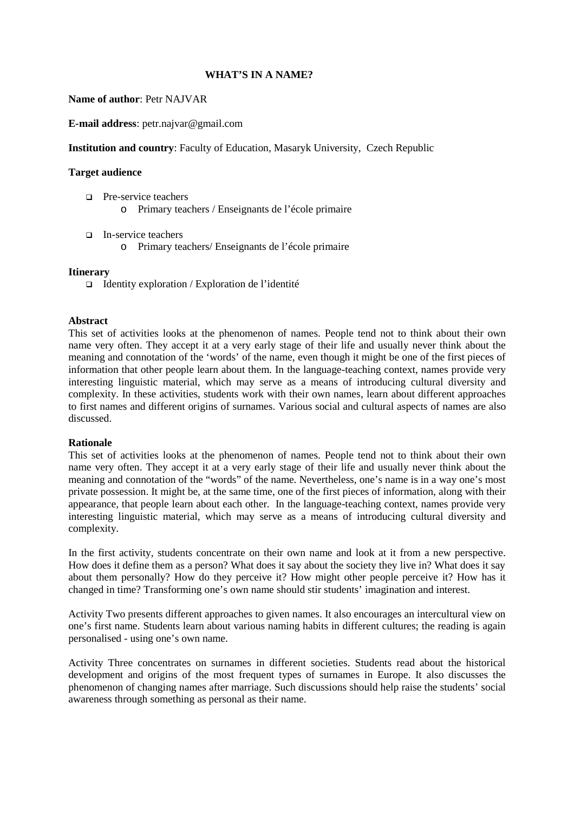## **WHAT'S IN A NAME?**

### **Name of author**: Petr NAJVAR

**E-mail address**: petr.najvar@gmail.com

## **Institution and country**: Faculty of Education, Masaryk University, Czech Republic

### **Target audience**

- □ Pre-service teachers o Primary teachers / Enseignants de l'école primaire
- In-service teachers
	- o Primary teachers/ Enseignants de l'école primaire

### **Itinerary**

 $\Box$  Identity exploration / Exploration de l'identité

### **Abstract**

This set of activities looks at the phenomenon of names. People tend not to think about their own name very often. They accept it at a very early stage of their life and usually never think about the meaning and connotation of the 'words' of the name, even though it might be one of the first pieces of information that other people learn about them. In the language-teaching context, names provide very interesting linguistic material, which may serve as a means of introducing cultural diversity and complexity. In these activities, students work with their own names, learn about different approaches to first names and different origins of surnames. Various social and cultural aspects of names are also discussed.

#### **Rationale**

This set of activities looks at the phenomenon of names. People tend not to think about their own name very often. They accept it at a very early stage of their life and usually never think about the meaning and connotation of the "words" of the name. Nevertheless, one's name is in a way one's most private possession. It might be, at the same time, one of the first pieces of information, along with their appearance, that people learn about each other. In the language-teaching context, names provide very interesting linguistic material, which may serve as a means of introducing cultural diversity and complexity.

In the first activity, students concentrate on their own name and look at it from a new perspective. How does it define them as a person? What does it say about the society they live in? What does it say about them personally? How do they perceive it? How might other people perceive it? How has it changed in time? Transforming one's own name should stir students' imagination and interest.

Activity Two presents different approaches to given names. It also encourages an intercultural view on one's first name. Students learn about various naming habits in different cultures; the reading is again personalised - using one's own name.

Activity Three concentrates on surnames in different societies. Students read about the historical development and origins of the most frequent types of surnames in Europe. It also discusses the phenomenon of changing names after marriage. Such discussions should help raise the students' social awareness through something as personal as their name.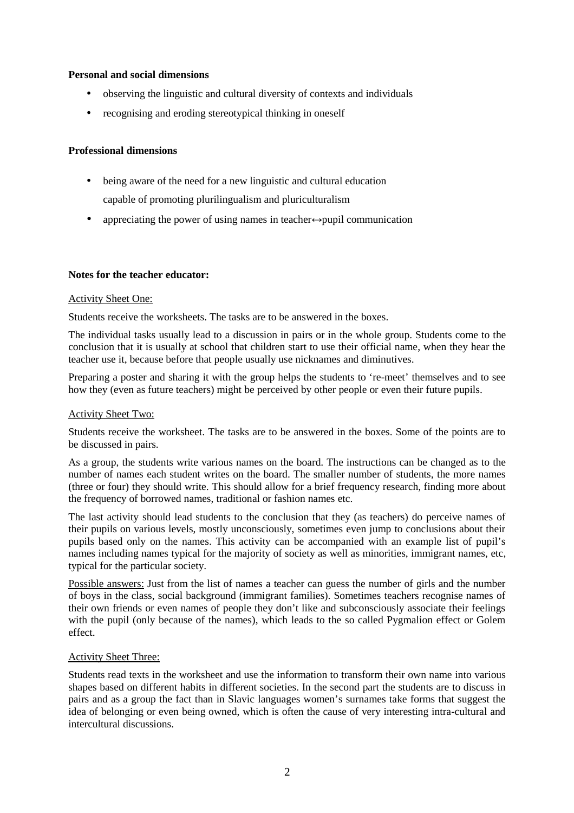## **Personal and social dimensions**

- observing the linguistic and cultural diversity of contexts and individuals
- recognising and eroding stereotypical thinking in oneself

## **Professional dimensions**

- being aware of the need for a new linguistic and cultural education capable of promoting plurilingualism and pluriculturalism
- appreciating the power of using names in teacher $\leftrightarrow$ pupil communication

## **Notes for the teacher educator:**

## Activity Sheet One:

Students receive the worksheets. The tasks are to be answered in the boxes.

The individual tasks usually lead to a discussion in pairs or in the whole group. Students come to the conclusion that it is usually at school that children start to use their official name, when they hear the teacher use it, because before that people usually use nicknames and diminutives.

Preparing a poster and sharing it with the group helps the students to 're-meet' themselves and to see how they (even as future teachers) might be perceived by other people or even their future pupils.

## Activity Sheet Two:

Students receive the worksheet. The tasks are to be answered in the boxes. Some of the points are to be discussed in pairs.

As a group, the students write various names on the board. The instructions can be changed as to the number of names each student writes on the board. The smaller number of students, the more names (three or four) they should write. This should allow for a brief frequency research, finding more about the frequency of borrowed names, traditional or fashion names etc.

The last activity should lead students to the conclusion that they (as teachers) do perceive names of their pupils on various levels, mostly unconsciously, sometimes even jump to conclusions about their pupils based only on the names. This activity can be accompanied with an example list of pupil's names including names typical for the majority of society as well as minorities, immigrant names, etc, typical for the particular society.

Possible answers: Just from the list of names a teacher can guess the number of girls and the number of boys in the class, social background (immigrant families). Sometimes teachers recognise names of their own friends or even names of people they don't like and subconsciously associate their feelings with the pupil (only because of the names), which leads to the so called Pygmalion effect or Golem effect.

## Activity Sheet Three:

Students read texts in the worksheet and use the information to transform their own name into various shapes based on different habits in different societies. In the second part the students are to discuss in pairs and as a group the fact than in Slavic languages women's surnames take forms that suggest the idea of belonging or even being owned, which is often the cause of very interesting intra-cultural and intercultural discussions.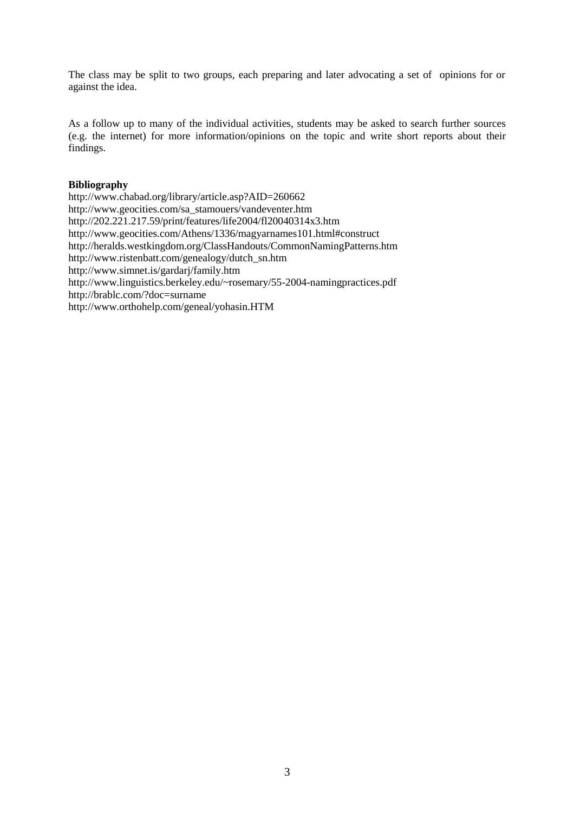The class may be split to two groups, each preparing and later advocating a set of opinions for or against the idea.

As a follow up to many of the individual activities, students may be asked to search further sources (e.g. the internet) for more information/opinions on the topic and write short reports about their findings.

# **Bibliography**

http://www.chabad.org/library/article.asp?AID=260662 http://www.geocities.com/sa\_stamouers/vandeventer.htm http://202.221.217.59/print/features/life2004/fl20040314x3.htm http://www.geocities.com/Athens/1336/magyarnames101.html#construct http://heralds.westkingdom.org/ClassHandouts/CommonNamingPatterns.htm http://www.ristenbatt.com/genealogy/dutch\_sn.htm http://www.simnet.is/gardarj/family.htm http://www.linguistics.berkeley.edu/~rosemary/55-2004-namingpractices.pdf http://brablc.com/?doc=surname http://www.orthohelp.com/geneal/yohasin.HTM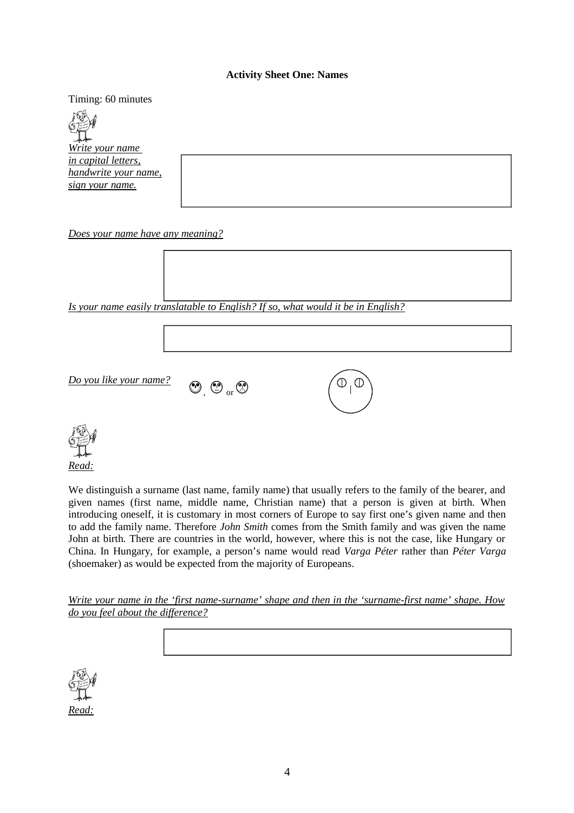## **Activity Sheet One: Names**

Timing: 60 minutes

*Write your name in capital letters, handwrite your name, sign your name.*

*Does your name have any meaning?*

*Is your name easily translatable to English? If so, what would it be in English?*

*Do you like your name?*

 $\odot$  ,  $\odot$  or  $\odot$ 





We distinguish a surname (last name, family name) that usually refers to the family of the bearer, and given names (first name, middle name, Christian name) that a person is given at birth. When introducing oneself, it is customary in most corners of Europe to say first one's given name and then to add the family name. Therefore *John Smith* comes from the Smith family and was given the name John at birth. There are countries in the world, however, where this is not the case, like Hungary or China. In Hungary, for example, a person's name would read *Varga Péter* rather than *Péter Varga* (shoemaker) as would be expected from the majority of Europeans.

*Write your name in the 'first name-surname' shape and then in the 'surname-first name' shape. How do you feel about the difference?*

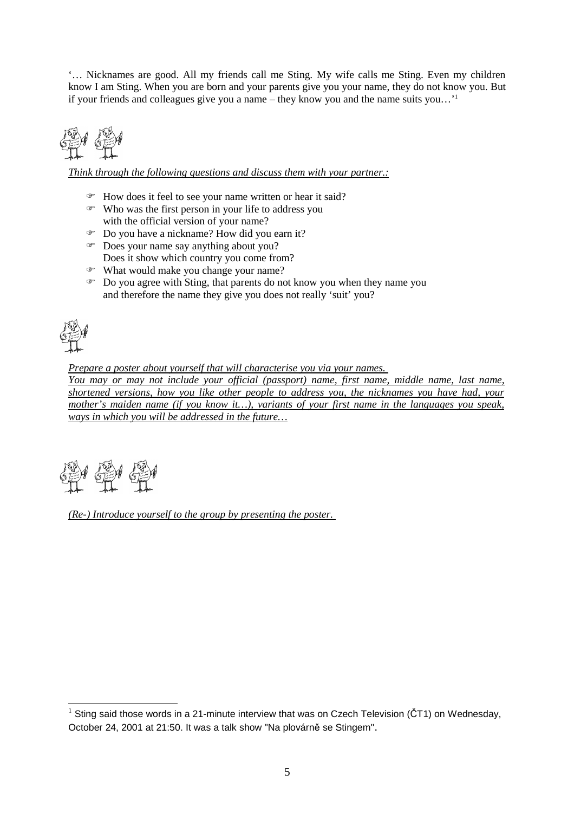'… Nicknames are good. All my friends call me Sting. My wife calls me Sting. Even my children know I am Sting. When you are born and your parents give you your name, they do not know you. But if your friends and colleagues give you a name – they know you and the name suits you…'<sup>1</sup>

*Think through the following questions and discuss them with your partner.:*

- How does it feel to see your name written or hear it said?
- Who was the first person in your life to address you with the official version of your name?
- Do you have a nickname? How did you earn it?
- $\circ$  Does your name say anything about you? Does it show which country you come from?
- What would make you change your name?
- Do you agree with Sting, that parents do not know you when they name you and therefore the name they give you does not really 'suit' you?

*Prepare a poster about yourself that will characterise you via your names.* 

*You may or may not include your official (passport) name, first name, middle name, last name, shortened versions, how you like other people to address you, the nicknames you have had, your mother's maiden name (if you know it…), variants of your first name in the languages you speak, ways in which you will be addressed in the future…*

*(Re-) Introduce yourself to the group by presenting the poster.* 

<sup>&</sup>lt;sup>1</sup> Sting said those words in a 21-minute interview that was on Czech Television (CT1) on Wednesday, October 24, 2001 at 21:50. It was a talk show "Na plovárně se Stingem".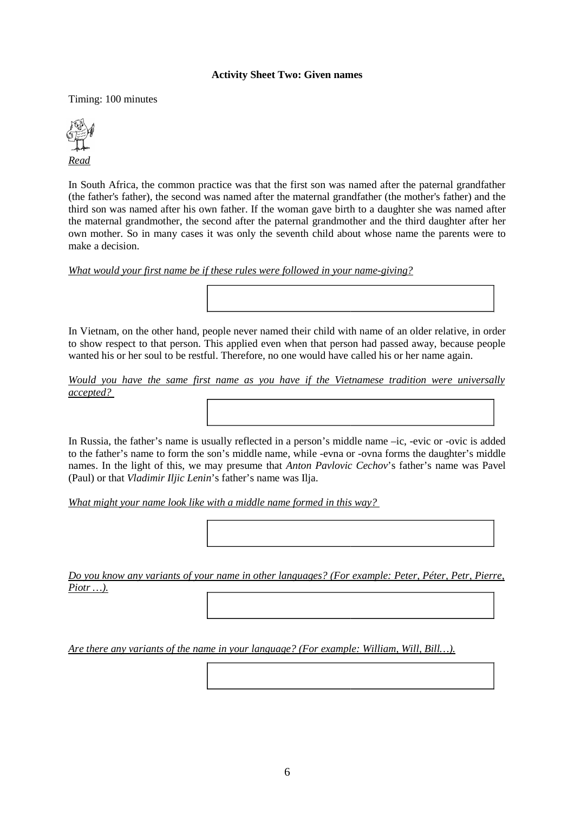### **Activity Sheet Two: Given names**

Timing: 100 minutes



In South Africa, the common practice was that the first son was named after the paternal grandfather (the father's father), the second was named after the maternal grandfather (the mother's father) and the third son was named after his own father. If the woman gave birth to a daughter she was named after the maternal grandmother, the second after the paternal grandmother and the third daughter after her own mother. So in many cases it was only the seventh child about whose name the parents were to make a decision.

*What would your first name be if these rules were followed in your name-giving?*

In Vietnam, on the other hand, people never named their child with name of an older relative, in order to show respect to that person. This applied even when that person had passed away, because people wanted his or her soul to be restful. Therefore, no one would have called his or her name again.

*Would you have the same first name as you have if the Vietnamese tradition were universally accepted?* 

In Russia, the father's name is usually reflected in a person's middle name –ic, -evic or -ovic is added to the father's name to form the son's middle name, while -evna or -ovna forms the daughter's middle names. In the light of this, we may presume that *Anton Pavlovic Cechov*'s father's name was Pavel (Paul) or that *Vladimir Iljic Lenin*'s father's name was Ilja.

*What might your name look like with a middle name formed in this way?* 

*Do you know any variants of your name in other languages? (For example: Peter, Péter, Petr, Pierre, Piotr …).*

*Are there any variants of the name in your language? (For example: William, Will, Bill…).*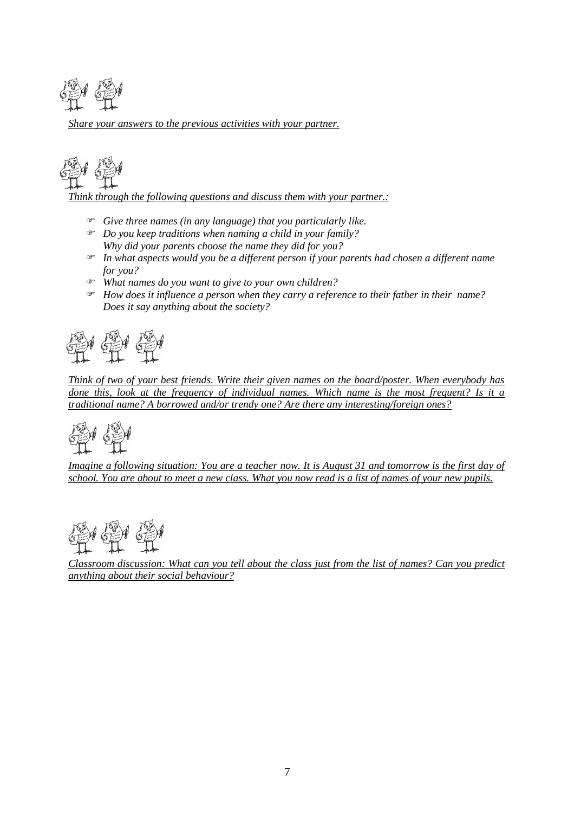

*Share your answers to the previous activities with your partner.*



*Think through the following questions and discuss them with your partner.:*

- *Give three names (in any language) that you particularly like.*
- *Do you keep traditions when naming a child in your family? Why did your parents choose the name they did for you?*
- *In what aspects would you be a different person if your parents had chosen a different name for you?*
- *What names do you want to give to your own children?*
- *How does it influence a person when they carry a reference to their father in their name? Does it say anything about the society?*



*Think of two of your best friends. Write their given names on the board/poster. When everybody has done this, look at the frequency of individual names. Which name is the most frequent? Is it a traditional name? A borrowed and/or trendy one? Are there any interesting/foreign ones?*



*Imagine a following situation: You are a teacher now. It is August 31 and tomorrow is the first day of school. You are about to meet a new class. What you now read is a list of names of your new pupils.*



*Classroom discussion: What can you tell about the class just from the list of names? Can you predict anything about their social behaviour?*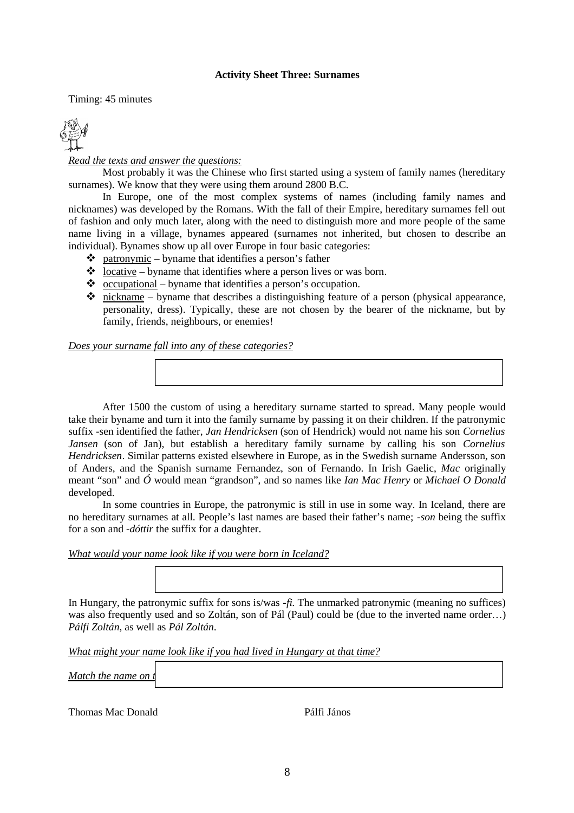## **Activity Sheet Three: Surnames**

Timing: 45 minutes



*Read the texts and answer the questions:*

Most probably it was the Chinese who first started using a system of family names (hereditary surnames). We know that they were using them around 2800 B.C.

In Europe, one of the most complex systems of names (including family names and nicknames) was developed by the Romans. With the fall of their Empire, hereditary surnames fell out of fashion and only much later, along with the need to distinguish more and more people of the same name living in a village, bynames appeared (surnames not inherited, but chosen to describe an individual). Bynames show up all over Europe in four basic categories:

- $\triangle$  patronymic byname that identifies a person's father
- $\triangleleft$  <u>locative</u> byname that identifies where a person lives or was born.
- $\bullet$  occupational byname that identifies a person's occupation.
- $\cdot \cdot$  nickname byname that describes a distinguishing feature of a person (physical appearance, personality, dress). Typically, these are not chosen by the bearer of the nickname, but by family, friends, neighbours, or enemies!

*Does your surname fall into any of these categories?*

After 1500 the custom of using a hereditary surname started to spread. Many people would take their byname and turn it into the family surname by passing it on their children. If the patronymic suffix -sen identified the father, *Jan Hendricksen* (son of Hendrick) would not name his son *Cornelius Jansen* (son of Jan), but establish a hereditary family surname by calling his son *Cornelius Hendricksen*. Similar patterns existed elsewhere in Europe, as in the Swedish surname Andersson, son of Anders, and the Spanish surname Fernandez, son of Fernando. In Irish Gaelic, *Mac* originally meant "son" and *Ó* would mean "grandson", and so names like *Ian Mac Henry* or *Michael O Donald* developed.

In some countries in Europe, the patronymic is still in use in some way. In Iceland, there are no hereditary surnames at all. People's last names are based their father's name; *-son* being the suffix for a son and *-dóttir* the suffix for a daughter.

*What would your name look like if you were born in Iceland?*

In Hungary, the patronymic suffix for sons is/was *-fi.* The unmarked patronymic (meaning no suffices) was also frequently used and so Zoltán, son of Pál (Paul) could be (due to the inverted name order…) *Pálfi Zoltán*, as well as *Pál Zoltán*.

*What might your name look like if you had lived in Hungary at that time?*

*Match the name on i* 

Thomas Mac Donald Pálfi János